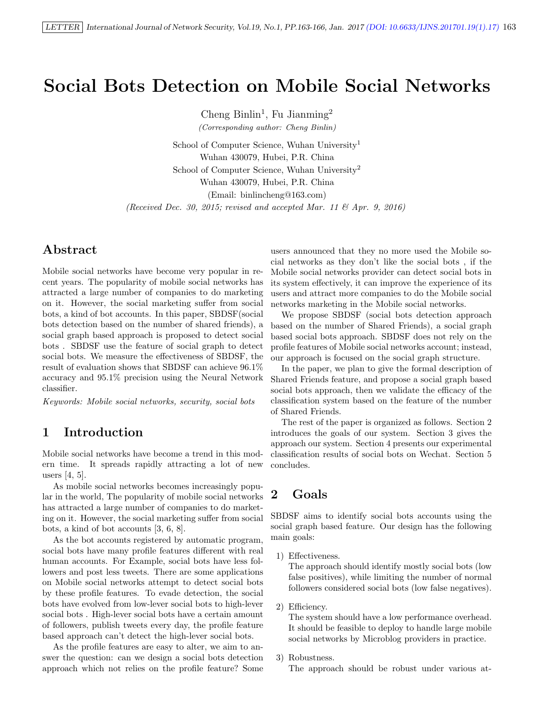# Social Bots Detection on Mobile Social Networks

Cheng Binlin<sup>1</sup>, Fu Jianming<sup>2</sup>

(Corresponding author: Cheng Binlin)

School of Computer Science, Wuhan University<sup>1</sup> Wuhan 430079, Hubei, P.R. China School of Computer Science, Wuhan University<sup>2</sup> Wuhan 430079, Hubei, P.R. China (Email: binlincheng@163.com) (Received Dec. 30, 2015; revised and accepted Mar. 11  $\mathcal{B}$  Apr. 9, 2016)

# Abstract

Mobile social networks have become very popular in recent years. The popularity of mobile social networks has attracted a large number of companies to do marketing on it. However, the social marketing suffer from social bots, a kind of bot accounts. In this paper, SBDSF(social bots detection based on the number of shared friends), a social graph based approach is proposed to detect social bots . SBDSF use the feature of social graph to detect social bots. We measure the effectiveness of SBDSF, the result of evaluation shows that SBDSF can achieve 96.1% accuracy and 95.1% precision using the Neural Network classifier.

Keywords: Mobile social networks, security, social bots

# 1 Introduction

Mobile social networks have become a trend in this modern time. It spreads rapidly attracting a lot of new users [4, 5].

As mobile social networks becomes increasingly popular in the world, The popularity of mobile social networks has attracted a large number of companies to do marketing on it. However, the social marketing suffer from social bots, a kind of bot accounts [3, 6, 8].

As the bot accounts registered by automatic program, social bots have many profile features different with real human accounts. For Example, social bots have less followers and post less tweets. There are some applications on Mobile social networks attempt to detect social bots by these profile features. To evade detection, the social bots have evolved from low-lever social bots to high-lever social bots . High-lever social bots have a certain amount of followers, publish tweets every day, the profile feature based approach can't detect the high-lever social bots.

As the profile features are easy to alter, we aim to answer the question: can we design a social bots detection approach which not relies on the profile feature? Some users announced that they no more used the Mobile social networks as they don't like the social bots , if the Mobile social networks provider can detect social bots in its system effectively, it can improve the experience of its users and attract more companies to do the Mobile social networks marketing in the Mobile social networks.

We propose SBDSF (social bots detection approach based on the number of Shared Friends), a social graph based social bots approach. SBDSF does not rely on the profile features of Mobile social networks account; instead, our approach is focused on the social graph structure.

In the paper, we plan to give the formal description of Shared Friends feature, and propose a social graph based social bots approach, then we validate the efficacy of the classification system based on the feature of the number of Shared Friends.

The rest of the paper is organized as follows. Section 2 introduces the goals of our system. Section 3 gives the approach our system. Section 4 presents our experimental classification results of social bots on Wechat. Section 5 concludes.

# 2 Goals

SBDSF aims to identify social bots accounts using the social graph based feature. Our design has the following main goals:

1) Effectiveness.

The approach should identify mostly social bots (low false positives), while limiting the number of normal followers considered social bots (low false negatives).

2) Efficiency.

The system should have a low performance overhead. It should be feasible to deploy to handle large mobile social networks by Microblog providers in practice.

3) Robustness.

The approach should be robust under various at-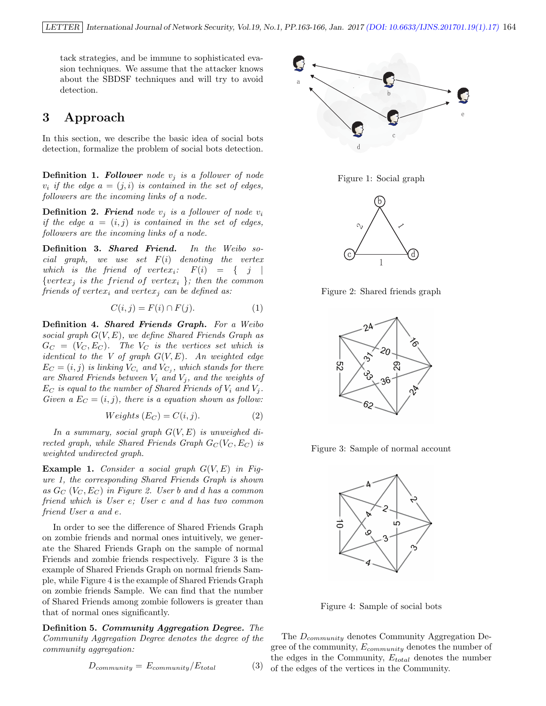tack strategies, and be immune to sophisticated evasion techniques. We assume that the attacker knows about the SBDSF techniques and will try to avoid detection.

## 3 Approach

In this section, we describe the basic idea of social bots detection, formalize the problem of social bots detection.

**Definition 1. Follower** node  $v_i$  is a follower of node  $v_i$  if the edge  $a = (j, i)$  is contained in the set of edges, followers are the incoming links of a node.

**Definition 2. Friend** node  $v_j$  is a follower of node  $v_i$ if the edge  $a = (i, j)$  is contained in the set of edges, followers are the incoming links of a node.

Definition 3. Shared Friend. In the Weibo social graph, we use set  $F(i)$  denoting the vertex which is the friend of vertex<sub>i</sub>:  $F(i) = \{ j |$ {vertex<sub>i</sub> is the friend of vertex<sub>i</sub> }; then the common friends of vertex<sub>i</sub> and vertex<sub>i</sub> can be defined as:

$$
C(i,j) = F(i) \cap F(j). \tag{1}
$$

Definition 4. Shared Friends Graph. For a Weibo social graph  $G(V, E)$ , we define Shared Friends Graph as  $G_C = (V_C, E_C)$ . The  $V_C$  is the vertices set which is identical to the V of graph  $G(V, E)$ . An weighted edge  $E_C = (i, j)$  is linking  $V_{C_i}$  and  $V_{C_j}$ , which stands for there are Shared Friends between  $V_i$  and  $V_j$ , and the weights of  $E_C$  is equal to the number of Shared Friends of  $V_i$  and  $V_j$ . Given a  $E_C = (i, j)$ , there is a equation shown as follow:

$$
Weights (E_C) = C(i, j). \tag{2}
$$

In a summary, social graph  $G(V, E)$  is unweighed directed graph, while Shared Friends Graph  $G_C(V_C, E_C)$  is weighted undirected graph.

**Example 1.** Consider a social graph  $G(V, E)$  in Figure 1, the corresponding Shared Friends Graph is shown as  $G_C$   $(V_C, E_C)$  in Figure 2. User b and d has a common friend which is User e; User c and d has two common friend User a and e.

In order to see the difference of Shared Friends Graph on zombie friends and normal ones intuitively, we generate the Shared Friends Graph on the sample of normal Friends and zombie friends respectively. Figure 3 is the example of Shared Friends Graph on normal friends Sample, while Figure 4 is the example of Shared Friends Graph on zombie friends Sample. We can find that the number of Shared Friends among zombie followers is greater than that of normal ones significantly.

Definition 5. Community Aggregation Degree. The Community Aggregation Degree denotes the degree of the community aggregation:

$$
D_{community} = E_{community} / E_{total}
$$
 (3)







Figure 2: Shared friends graph



Figure 3: Sample of normal account



Figure 4: Sample of social bots

The  $D_{community}$  denotes Community Aggregation Degree of the community,  $E_{community}$  denotes the number of the edges in the Community,  $E_{total}$  denotes the number of the edges of the vertices in the Community.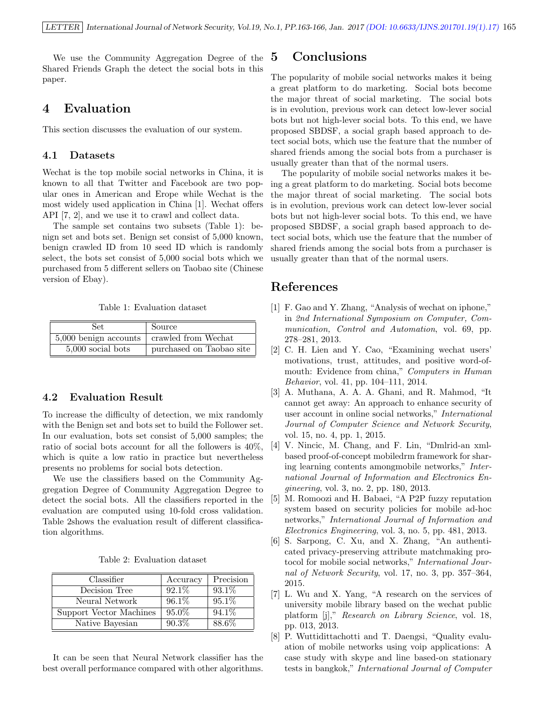We use the Community Aggregation Degree of the Shared Friends Graph the detect the social bots in this paper.

#### 4 Evaluation

This section discusses the evaluation of our system.

#### 4.1 Datasets

Wechat is the top mobile social networks in China, it is known to all that Twitter and Facebook are two popular ones in American and Erope while Wechat is the most widely used application in China [1]. Wechat offers API [7, 2], and we use it to crawl and collect data.

The sample set contains two subsets (Table 1): benign set and bots set. Benign set consist of 5,000 known, benign crawled ID from 10 seed ID which is randomly select, the bots set consist of 5,000 social bots which we purchased from 5 different sellers on Taobao site (Chinese version of Ebay).

Table 1: Evaluation dataset

| Set                   | Source                   |
|-----------------------|--------------------------|
| 5,000 benign accounts | crawled from Wechat      |
| $5,000$ social bots   | purchased on Taobao site |

#### 4.2 Evaluation Result

To increase the difficulty of detection, we mix randomly with the Benign set and bots set to build the Follower set. In our evaluation, bots set consist of 5,000 samples; the ratio of social bots account for all the followers is 40%, which is quite a low ratio in practice but nevertheless presents no problems for social bots detection.

We use the classifiers based on the Community Aggregation Degree of Community Aggregation Degree to detect the social bots. All the classifiers reported in the evaluation are computed using 10-fold cross validation. Table 2shows the evaluation result of different classification algorithms.

Table 2: Evaluation dataset

| Classifier              | Accuracy | Precision |
|-------------------------|----------|-----------|
| Decision Tree           | 92.1%    | 93.1\%    |
| Neural Network          | 96.1%    | 95.1%     |
| Support Vector Machines | $95.0\%$ | 94.1%     |
| Native Bayesian         | 90.3%    | 88.6%     |

It can be seen that Neural Network classifier has the best overall performance compared with other algorithms.

## 5 Conclusions

The popularity of mobile social networks makes it being a great platform to do marketing. Social bots become the major threat of social marketing. The social bots is in evolution, previous work can detect low-lever social bots but not high-lever social bots. To this end, we have proposed SBDSF, a social graph based approach to detect social bots, which use the feature that the number of shared friends among the social bots from a purchaser is usually greater than that of the normal users.

The popularity of mobile social networks makes it being a great platform to do marketing. Social bots become the major threat of social marketing. The social bots is in evolution, previous work can detect low-lever social bots but not high-lever social bots. To this end, we have proposed SBDSF, a social graph based approach to detect social bots, which use the feature that the number of shared friends among the social bots from a purchaser is usually greater than that of the normal users.

# References

- [1] F. Gao and Y. Zhang, "Analysis of wechat on iphone," in 2nd International Symposium on Computer, Communication, Control and Automation, vol. 69, pp. 278–281, 2013.
- [2] C. H. Lien and Y. Cao, "Examining wechat users' motivations, trust, attitudes, and positive word-ofmouth: Evidence from china," Computers in Human Behavior, vol. 41, pp. 104–111, 2014.
- [3] A. Muthana, A. A. A. Ghani, and R. Mahmod, "It cannot get away: An approach to enhance security of user account in online social networks," International Journal of Computer Science and Network Security, vol. 15, no. 4, pp. 1, 2015.
- [4] V. Nincic, M. Chang, and F. Lin, "Dmlrid-an xmlbased proof-of-concept mobiledrm framework for sharing learning contents amongmobile networks," International Journal of Information and Electronics Engineering, vol. 3, no. 2, pp. 180, 2013.
- [5] M. Romoozi and H. Babaei, "A P2P fuzzy reputation system based on security policies for mobile ad-hoc networks," International Journal of Information and Electronics Engineering, vol. 3, no. 5, pp. 481, 2013.
- [6] S. Sarpong, C. Xu, and X. Zhang, "An authenticated privacy-preserving attribute matchmaking protocol for mobile social networks," International Journal of Network Security, vol. 17, no. 3, pp. 357–364, 2015.
- [7] L. Wu and X. Yang, "A research on the services of university mobile library based on the wechat public platform [j]," Research on Library Science, vol. 18, pp. 013, 2013.
- [8] P. Wuttidittachotti and T. Daengsi, "Quality evaluation of mobile networks using voip applications: A case study with skype and line based-on stationary tests in bangkok," International Journal of Computer